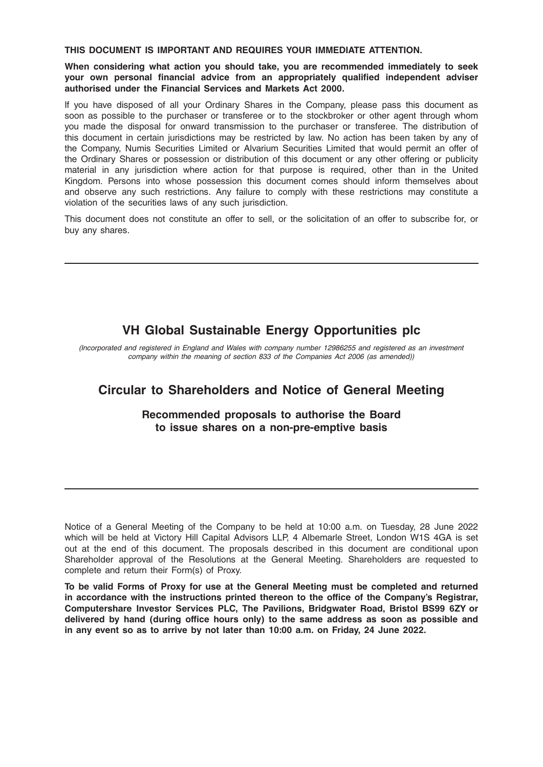THIS DOCUMENT IS IMPORTANT AND REQUIRES YOUR IMMEDIATE ATTENTION.

When considering what action you should take, you are recommended immediately to seek your own personal financial advice from an appropriately qualified independent adviser authorised under the Financial Services and Markets Act 2000.

If you have disposed of all your Ordinary Shares in the Company, please pass this document as soon as possible to the purchaser or transferee or to the stockbroker or other agent through whom you made the disposal for onward transmission to the purchaser or transferee. The distribution of this document in certain jurisdictions may be restricted by law. No action has been taken by any of the Company, Numis Securities Limited or Alvarium Securities Limited that would permit an offer of the Ordinary Shares or possession or distribution of this document or any other offering or publicity material in any jurisdiction where action for that purpose is required, other than in the United Kingdom. Persons into whose possession this document comes should inform themselves about and observe any such restrictions. Any failure to comply with these restrictions may constitute a violation of the securities laws of any such jurisdiction.

This document does not constitute an offer to sell, or the solicitation of an offer to subscribe for, or buy any shares.

# VH Global Sustainable Energy Opportunities plc

(Incorporated and registered in England and Wales with company number 12986255 and registered as an investment company within the meaning of section 833 of the Companies Act 2006 (as amended))

# Circular to Shareholders and Notice of General Meeting

Recommended proposals to authorise the Board to issue shares on a non-pre-emptive basis

Notice of a General Meeting of the Company to be held at 10:00 a.m. on Tuesday, 28 June 2022 which will be held at Victory Hill Capital Advisors LLP, 4 Albemarle Street, London W1S 4GA is set out at the end of this document. The proposals described in this document are conditional upon Shareholder approval of the Resolutions at the General Meeting. Shareholders are requested to complete and return their Form(s) of Proxy.

To be valid Forms of Proxy for use at the General Meeting must be completed and returned in accordance with the instructions printed thereon to the office of the Company's Registrar, Computershare Investor Services PLC, The Pavilions, Bridgwater Road, Bristol BS99 6ZY or delivered by hand (during office hours only) to the same address as soon as possible and in any event so as to arrive by not later than 10:00 a.m. on Friday, 24 June 2022.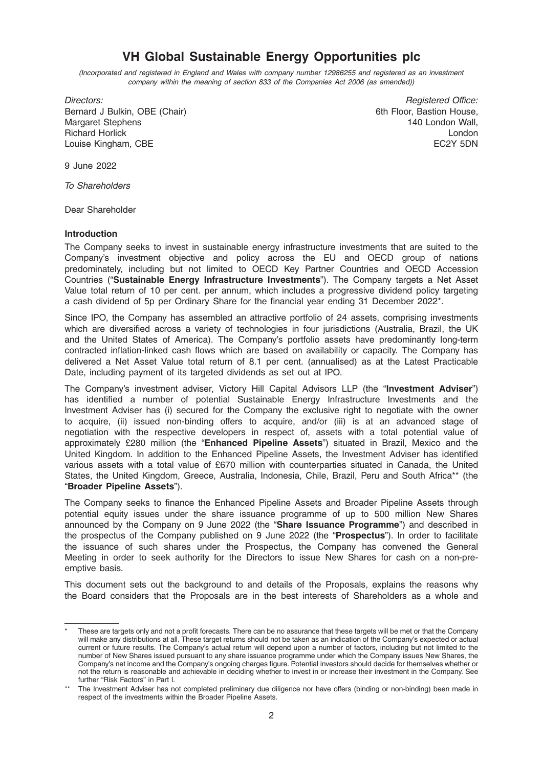# VH Global Sustainable Energy Opportunities plc

(Incorporated and registered in England and Wales with company number 12986255 and registered as an investment company within the meaning of section 833 of the Companies Act 2006 (as amended))

Directors: Bernard J Bulkin, OBE (Chair) Margaret Stephens Richard Horlick Louise Kingham, CBE

Registered Office: 6th Floor, Bastion House, 140 London Wall, London EC2Y 5DN

9 June 2022

To Shareholders

Dear Shareholder

#### Introduction

The Company seeks to invest in sustainable energy infrastructure investments that are suited to the Company's investment objective and policy across the EU and OECD group of nations predominately, including but not limited to OECD Key Partner Countries and OECD Accession Countries ("Sustainable Energy Infrastructure Investments"). The Company targets a Net Asset Value total return of 10 per cent. per annum, which includes a progressive dividend policy targeting a cash dividend of 5p per Ordinary Share for the financial year ending 31 December 2022\*.

Since IPO, the Company has assembled an attractive portfolio of 24 assets, comprising investments which are diversified across a variety of technologies in four jurisdictions (Australia, Brazil, the UK and the United States of America). The Company's portfolio assets have predominantly long-term contracted inflation-linked cash flows which are based on availability or capacity. The Company has delivered a Net Asset Value total return of 8.1 per cent. (annualised) as at the Latest Practicable Date, including payment of its targeted dividends as set out at IPO.

The Company's investment adviser, Victory Hill Capital Advisors LLP (the "Investment Adviser") has identified a number of potential Sustainable Energy Infrastructure Investments and the Investment Adviser has (i) secured for the Company the exclusive right to negotiate with the owner to acquire, (ii) issued non-binding offers to acquire, and/or (iii) is at an advanced stage of negotiation with the respective developers in respect of, assets with a total potential value of approximately £280 million (the "Enhanced Pipeline Assets") situated in Brazil, Mexico and the United Kingdom. In addition to the Enhanced Pipeline Assets, the Investment Adviser has identified various assets with a total value of £670 million with counterparties situated in Canada, the United States, the United Kingdom, Greece, Australia, Indonesia, Chile, Brazil, Peru and South Africa\*\* (the "Broader Pipeline Assets").

The Company seeks to finance the Enhanced Pipeline Assets and Broader Pipeline Assets through potential equity issues under the share issuance programme of up to 500 million New Shares announced by the Company on 9 June 2022 (the "Share Issuance Programme") and described in the prospectus of the Company published on 9 June 2022 (the "Prospectus"). In order to facilitate the issuance of such shares under the Prospectus, the Company has convened the General Meeting in order to seek authority for the Directors to issue New Shares for cash on a non-preemptive basis.

This document sets out the background to and details of the Proposals, explains the reasons why the Board considers that the Proposals are in the best interests of Shareholders as a whole and

These are targets only and not a profit forecasts. There can be no assurance that these targets will be met or that the Company will make any distributions at all. These target returns should not be taken as an indication of the Company's expected or actual current or future results. The Company's actual return will depend upon a number of factors, including but not limited to the number of New Shares issued pursuant to any share issuance programme under which the Company issues New Shares, the Company's net income and the Company's ongoing charges figure. Potential investors should decide for themselves whether or not the return is reasonable and achievable in deciding whether to invest in or increase their investment in the Company. See further "Risk Factors" in Part I.

<sup>\*\*</sup> The Investment Adviser has not completed preliminary due diligence nor have offers (binding or non-binding) been made in respect of the investments within the Broader Pipeline Assets.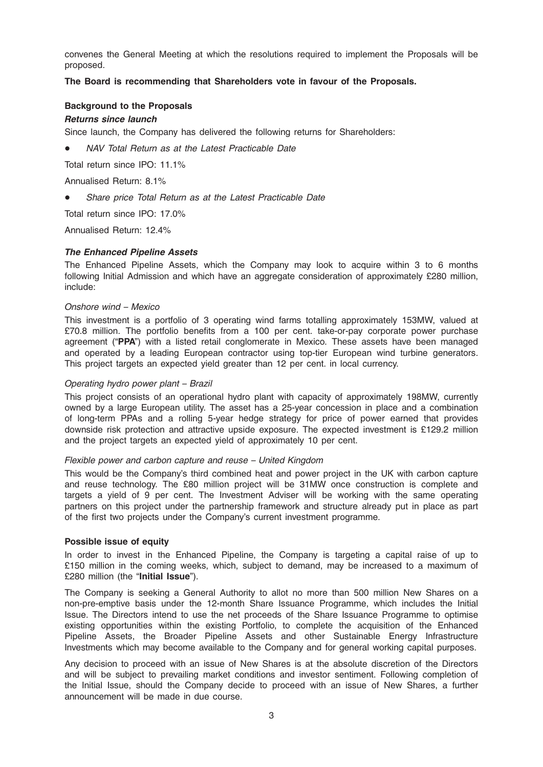convenes the General Meeting at which the resolutions required to implement the Proposals will be proposed.

### The Board is recommending that Shareholders vote in favour of the Proposals.

#### Background to the Proposals

#### Returns since launch

Since launch, the Company has delivered the following returns for Shareholders:

NAV Total Return as at the Latest Practicable Date

Total return since IPO: 11.1%

Annualised Return: 8.1%

Share price Total Return as at the Latest Practicable Date

Total return since IPO: 17.0%

Annualised Return: 12.4%

#### The Enhanced Pipeline Assets

The Enhanced Pipeline Assets, which the Company may look to acquire within 3 to 6 months following Initial Admission and which have an aggregate consideration of approximately £280 million, include:

#### Onshore wind – Mexico

This investment is a portfolio of 3 operating wind farms totalling approximately 153MW, valued at £70.8 million. The portfolio benefits from a 100 per cent. take-or-pay corporate power purchase agreement ("PPA") with a listed retail conglomerate in Mexico. These assets have been managed and operated by a leading European contractor using top-tier European wind turbine generators. This project targets an expected yield greater than 12 per cent. in local currency.

#### Operating hydro power plant – Brazil

This project consists of an operational hydro plant with capacity of approximately 198MW, currently owned by a large European utility. The asset has a 25-year concession in place and a combination of long-term PPAs and a rolling 5-year hedge strategy for price of power earned that provides downside risk protection and attractive upside exposure. The expected investment is £129.2 million and the project targets an expected yield of approximately 10 per cent.

#### Flexible power and carbon capture and reuse – United Kingdom

This would be the Company's third combined heat and power project in the UK with carbon capture and reuse technology. The £80 million project will be 31MW once construction is complete and targets a yield of 9 per cent. The Investment Adviser will be working with the same operating partners on this project under the partnership framework and structure already put in place as part of the first two projects under the Company's current investment programme.

#### Possible issue of equity

In order to invest in the Enhanced Pipeline, the Company is targeting a capital raise of up to £150 million in the coming weeks, which, subject to demand, may be increased to a maximum of £280 million (the "Initial Issue").

The Company is seeking a General Authority to allot no more than 500 million New Shares on a non-pre-emptive basis under the 12-month Share Issuance Programme, which includes the Initial Issue. The Directors intend to use the net proceeds of the Share Issuance Programme to optimise existing opportunities within the existing Portfolio, to complete the acquisition of the Enhanced Pipeline Assets, the Broader Pipeline Assets and other Sustainable Energy Infrastructure Investments which may become available to the Company and for general working capital purposes.

Any decision to proceed with an issue of New Shares is at the absolute discretion of the Directors and will be subject to prevailing market conditions and investor sentiment. Following completion of the Initial Issue, should the Company decide to proceed with an issue of New Shares, a further announcement will be made in due course.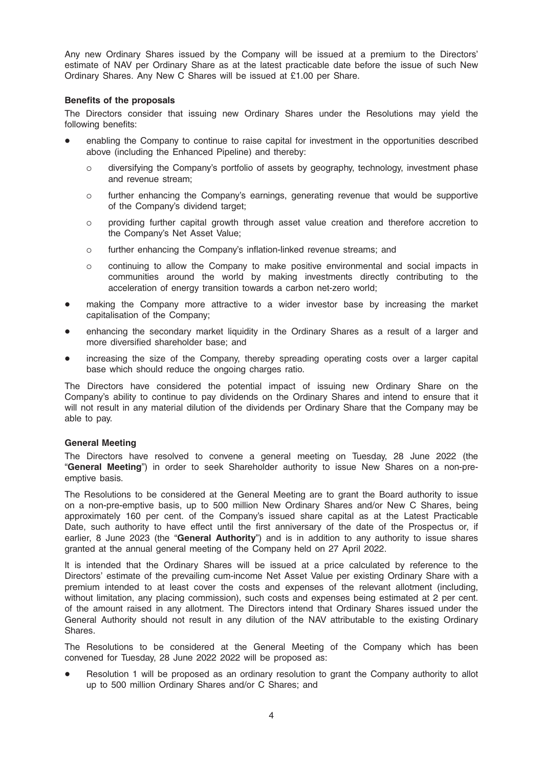Any new Ordinary Shares issued by the Company will be issued at a premium to the Directors' estimate of NAV per Ordinary Share as at the latest practicable date before the issue of such New Ordinary Shares. Any New C Shares will be issued at £1.00 per Share.

#### Benefits of the proposals

The Directors consider that issuing new Ordinary Shares under the Resolutions may yield the following benefits:

- enabling the Company to continue to raise capital for investment in the opportunities described above (including the Enhanced Pipeline) and thereby:
	- diversifying the Company's portfolio of assets by geography, technology, investment phase and revenue stream;
	- further enhancing the Company's earnings, generating revenue that would be supportive of the Company's dividend target;
	- providing further capital growth through asset value creation and therefore accretion to the Company's Net Asset Value;
	- further enhancing the Company's inflation-linked revenue streams; and
	- continuing to allow the Company to make positive environmental and social impacts in communities around the world by making investments directly contributing to the acceleration of energy transition towards a carbon net-zero world;
- making the Company more attractive to a wider investor base by increasing the market capitalisation of the Company;
- enhancing the secondary market liquidity in the Ordinary Shares as a result of a larger and more diversified shareholder base; and
- increasing the size of the Company, thereby spreading operating costs over a larger capital base which should reduce the ongoing charges ratio.

The Directors have considered the potential impact of issuing new Ordinary Share on the Company's ability to continue to pay dividends on the Ordinary Shares and intend to ensure that it will not result in any material dilution of the dividends per Ordinary Share that the Company may be able to pay.

#### General Meeting

The Directors have resolved to convene a general meeting on Tuesday, 28 June 2022 (the "General Meeting") in order to seek Shareholder authority to issue New Shares on a non-preemptive basis.

The Resolutions to be considered at the General Meeting are to grant the Board authority to issue on a non-pre-emptive basis, up to 500 million New Ordinary Shares and/or New C Shares, being approximately 160 per cent. of the Company's issued share capital as at the Latest Practicable Date, such authority to have effect until the first anniversary of the date of the Prospectus or, if earlier, 8 June 2023 (the "General Authority") and is in addition to any authority to issue shares granted at the annual general meeting of the Company held on 27 April 2022.

It is intended that the Ordinary Shares will be issued at a price calculated by reference to the Directors' estimate of the prevailing cum-income Net Asset Value per existing Ordinary Share with a premium intended to at least cover the costs and expenses of the relevant allotment (including, without limitation, any placing commission), such costs and expenses being estimated at 2 per cent. of the amount raised in any allotment. The Directors intend that Ordinary Shares issued under the General Authority should not result in any dilution of the NAV attributable to the existing Ordinary Shares.

The Resolutions to be considered at the General Meeting of the Company which has been convened for Tuesday, 28 June 2022 2022 will be proposed as:

Resolution 1 will be proposed as an ordinary resolution to grant the Company authority to allot up to 500 million Ordinary Shares and/or C Shares; and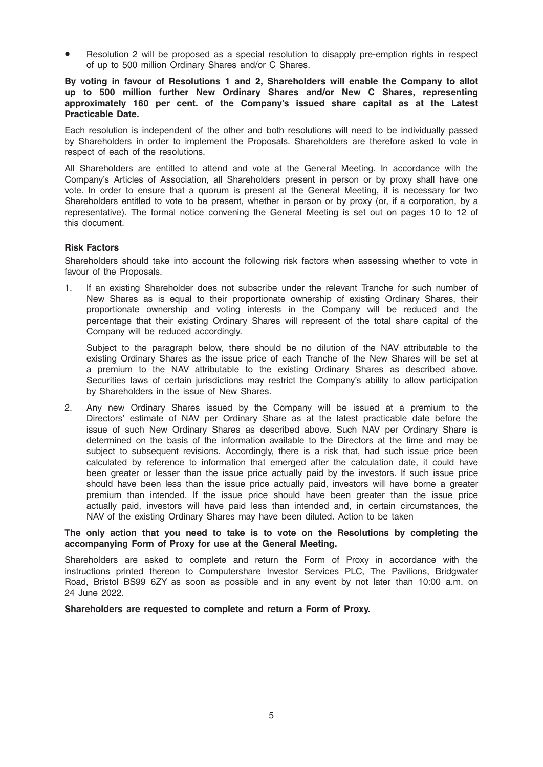Resolution 2 will be proposed as a special resolution to disapply pre-emption rights in respect of up to 500 million Ordinary Shares and/or C Shares.

#### By voting in favour of Resolutions 1 and 2, Shareholders will enable the Company to allot up to 500 million further New Ordinary Shares and/or New C Shares, representing approximately 160 per cent. of the Company's issued share capital as at the Latest Practicable Date.

Each resolution is independent of the other and both resolutions will need to be individually passed by Shareholders in order to implement the Proposals. Shareholders are therefore asked to vote in respect of each of the resolutions.

All Shareholders are entitled to attend and vote at the General Meeting. In accordance with the Company's Articles of Association, all Shareholders present in person or by proxy shall have one vote. In order to ensure that a quorum is present at the General Meeting, it is necessary for two Shareholders entitled to vote to be present, whether in person or by proxy (or, if a corporation, by a representative). The formal notice convening the General Meeting is set out on pages 10 to 12 of this document.

#### Risk Factors

Shareholders should take into account the following risk factors when assessing whether to vote in favour of the Proposals.

1. If an existing Shareholder does not subscribe under the relevant Tranche for such number of New Shares as is equal to their proportionate ownership of existing Ordinary Shares, their proportionate ownership and voting interests in the Company will be reduced and the percentage that their existing Ordinary Shares will represent of the total share capital of the Company will be reduced accordingly.

Subject to the paragraph below, there should be no dilution of the NAV attributable to the existing Ordinary Shares as the issue price of each Tranche of the New Shares will be set at a premium to the NAV attributable to the existing Ordinary Shares as described above. Securities laws of certain jurisdictions may restrict the Company's ability to allow participation by Shareholders in the issue of New Shares.

2. Any new Ordinary Shares issued by the Company will be issued at a premium to the Directors' estimate of NAV per Ordinary Share as at the latest practicable date before the issue of such New Ordinary Shares as described above. Such NAV per Ordinary Share is determined on the basis of the information available to the Directors at the time and may be subject to subsequent revisions. Accordingly, there is a risk that, had such issue price been calculated by reference to information that emerged after the calculation date, it could have been greater or lesser than the issue price actually paid by the investors. If such issue price should have been less than the issue price actually paid, investors will have borne a greater premium than intended. If the issue price should have been greater than the issue price actually paid, investors will have paid less than intended and, in certain circumstances, the NAV of the existing Ordinary Shares may have been diluted. Action to be taken

#### The only action that you need to take is to vote on the Resolutions by completing the accompanying Form of Proxy for use at the General Meeting.

Shareholders are asked to complete and return the Form of Proxy in accordance with the instructions printed thereon to Computershare Investor Services PLC, The Pavilions, Bridgwater Road, Bristol BS99 6ZY as soon as possible and in any event by not later than 10:00 a.m. on 24 June 2022.

Shareholders are requested to complete and return a Form of Proxy.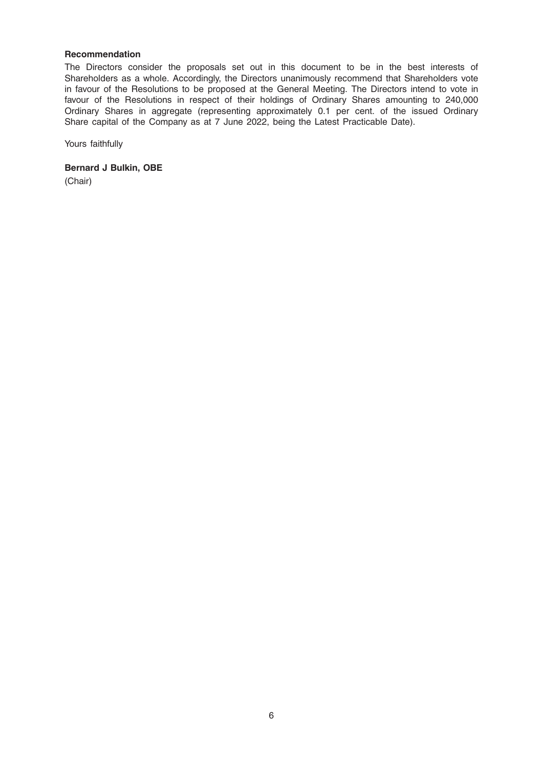#### Recommendation

The Directors consider the proposals set out in this document to be in the best interests of Shareholders as a whole. Accordingly, the Directors unanimously recommend that Shareholders vote in favour of the Resolutions to be proposed at the General Meeting. The Directors intend to vote in favour of the Resolutions in respect of their holdings of Ordinary Shares amounting to 240,000 Ordinary Shares in aggregate (representing approximately 0.1 per cent. of the issued Ordinary Share capital of the Company as at 7 June 2022, being the Latest Practicable Date).

Yours faithfully

Bernard J Bulkin, OBE (Chair)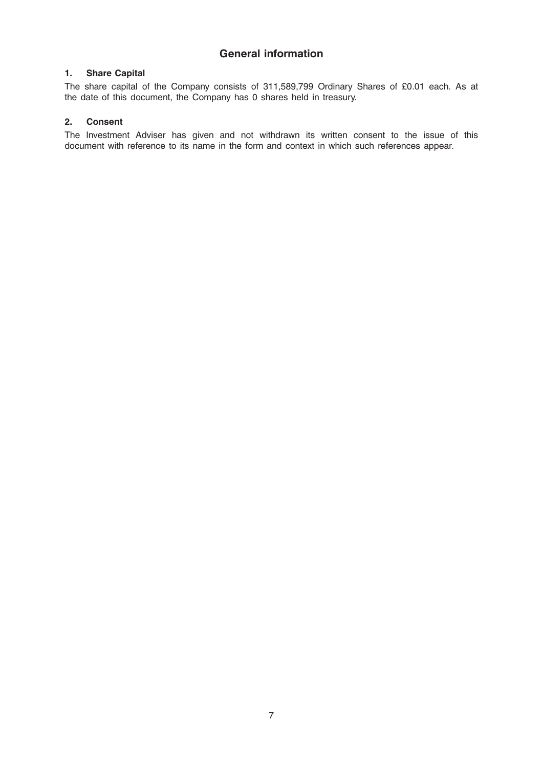## General information

#### 1. Share Capital

The share capital of the Company consists of 311,589,799 Ordinary Shares of £0.01 each. As at the date of this document, the Company has 0 shares held in treasury.

#### 2. Consent

The Investment Adviser has given and not withdrawn its written consent to the issue of this document with reference to its name in the form and context in which such references appear.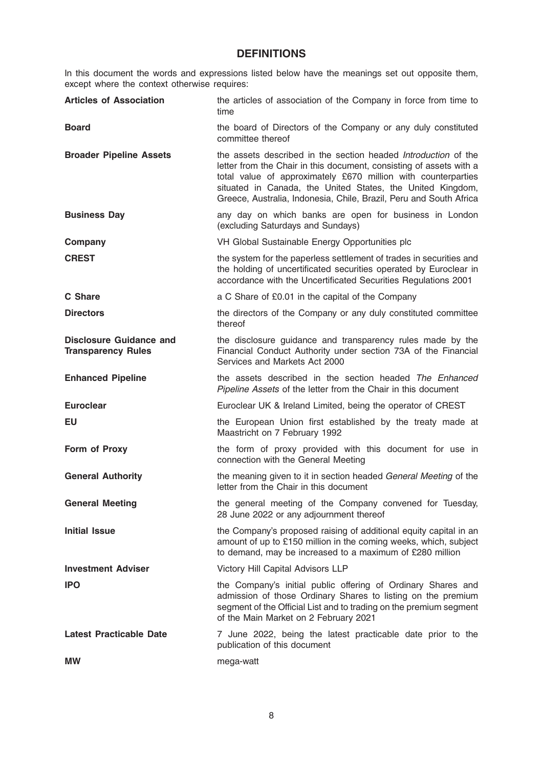### **DEFINITIONS**

In this document the words and expressions listed below have the meanings set out opposite them, except where the context otherwise requires:

| <b>Articles of Association</b>                              | the articles of association of the Company in force from time to<br>time                                                                                                                                                                                                                                                                   |
|-------------------------------------------------------------|--------------------------------------------------------------------------------------------------------------------------------------------------------------------------------------------------------------------------------------------------------------------------------------------------------------------------------------------|
| <b>Board</b>                                                | the board of Directors of the Company or any duly constituted<br>committee thereof                                                                                                                                                                                                                                                         |
| <b>Broader Pipeline Assets</b>                              | the assets described in the section headed Introduction of the<br>letter from the Chair in this document, consisting of assets with a<br>total value of approximately £670 million with counterparties<br>situated in Canada, the United States, the United Kingdom,<br>Greece, Australia, Indonesia, Chile, Brazil, Peru and South Africa |
| <b>Business Day</b>                                         | any day on which banks are open for business in London<br>(excluding Saturdays and Sundays)                                                                                                                                                                                                                                                |
| Company                                                     | VH Global Sustainable Energy Opportunities plc                                                                                                                                                                                                                                                                                             |
| <b>CREST</b>                                                | the system for the paperless settlement of trades in securities and<br>the holding of uncertificated securities operated by Euroclear in<br>accordance with the Uncertificated Securities Regulations 2001                                                                                                                                 |
| <b>C</b> Share                                              | a C Share of £0.01 in the capital of the Company                                                                                                                                                                                                                                                                                           |
| <b>Directors</b>                                            | the directors of the Company or any duly constituted committee<br>thereof                                                                                                                                                                                                                                                                  |
| <b>Disclosure Guidance and</b><br><b>Transparency Rules</b> | the disclosure guidance and transparency rules made by the<br>Financial Conduct Authority under section 73A of the Financial<br>Services and Markets Act 2000                                                                                                                                                                              |
| <b>Enhanced Pipeline</b>                                    | the assets described in the section headed The Enhanced<br>Pipeline Assets of the letter from the Chair in this document                                                                                                                                                                                                                   |
| <b>Euroclear</b>                                            | Euroclear UK & Ireland Limited, being the operator of CREST                                                                                                                                                                                                                                                                                |
| EU                                                          | the European Union first established by the treaty made at<br>Maastricht on 7 February 1992                                                                                                                                                                                                                                                |
| Form of Proxy                                               | the form of proxy provided with this document for use in<br>connection with the General Meeting                                                                                                                                                                                                                                            |
| <b>General Authority</b>                                    | the meaning given to it in section headed General Meeting of the<br>letter from the Chair in this document                                                                                                                                                                                                                                 |
| <b>General Meeting</b>                                      | the general meeting of the Company convened for Tuesday,<br>28 June 2022 or any adjournment thereof                                                                                                                                                                                                                                        |
| <b>Initial Issue</b>                                        | the Company's proposed raising of additional equity capital in an<br>amount of up to £150 million in the coming weeks, which, subject<br>to demand, may be increased to a maximum of £280 million                                                                                                                                          |
| <b>Investment Adviser</b>                                   | Victory Hill Capital Advisors LLP                                                                                                                                                                                                                                                                                                          |
| <b>IPO</b>                                                  | the Company's initial public offering of Ordinary Shares and<br>admission of those Ordinary Shares to listing on the premium<br>segment of the Official List and to trading on the premium segment<br>of the Main Market on 2 February 2021                                                                                                |
| <b>Latest Practicable Date</b>                              | 7 June 2022, being the latest practicable date prior to the<br>publication of this document                                                                                                                                                                                                                                                |
| <b>MW</b>                                                   | mega-watt                                                                                                                                                                                                                                                                                                                                  |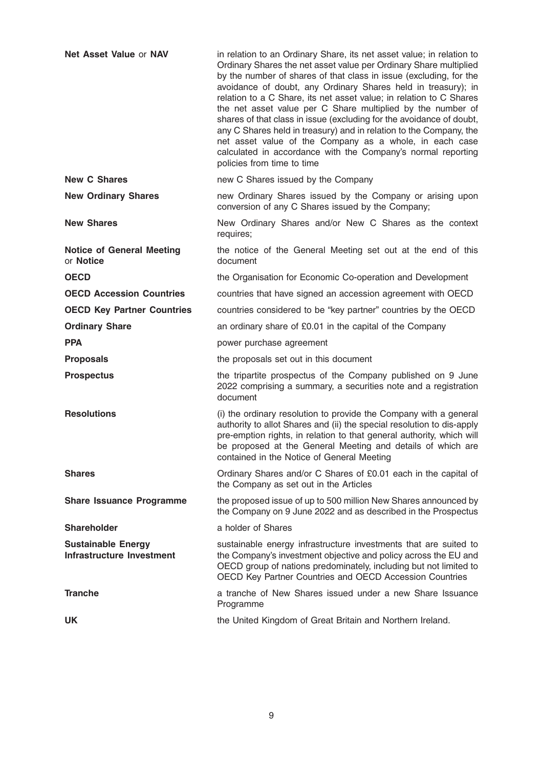| Net Asset Value or NAV                                 | in relation to an Ordinary Share, its net asset value; in relation to<br>Ordinary Shares the net asset value per Ordinary Share multiplied<br>by the number of shares of that class in issue (excluding, for the<br>avoidance of doubt, any Ordinary Shares held in treasury); in<br>relation to a C Share, its net asset value; in relation to C Shares<br>the net asset value per C Share multiplied by the number of<br>shares of that class in issue (excluding for the avoidance of doubt,<br>any C Shares held in treasury) and in relation to the Company, the<br>net asset value of the Company as a whole, in each case<br>calculated in accordance with the Company's normal reporting<br>policies from time to time |
|--------------------------------------------------------|--------------------------------------------------------------------------------------------------------------------------------------------------------------------------------------------------------------------------------------------------------------------------------------------------------------------------------------------------------------------------------------------------------------------------------------------------------------------------------------------------------------------------------------------------------------------------------------------------------------------------------------------------------------------------------------------------------------------------------|
| <b>New C Shares</b>                                    | new C Shares issued by the Company                                                                                                                                                                                                                                                                                                                                                                                                                                                                                                                                                                                                                                                                                             |
| <b>New Ordinary Shares</b>                             | new Ordinary Shares issued by the Company or arising upon<br>conversion of any C Shares issued by the Company;                                                                                                                                                                                                                                                                                                                                                                                                                                                                                                                                                                                                                 |
| <b>New Shares</b>                                      | New Ordinary Shares and/or New C Shares as the context<br>requires;                                                                                                                                                                                                                                                                                                                                                                                                                                                                                                                                                                                                                                                            |
| <b>Notice of General Meeting</b><br>or Notice          | the notice of the General Meeting set out at the end of this<br>document                                                                                                                                                                                                                                                                                                                                                                                                                                                                                                                                                                                                                                                       |
| <b>OECD</b>                                            | the Organisation for Economic Co-operation and Development                                                                                                                                                                                                                                                                                                                                                                                                                                                                                                                                                                                                                                                                     |
| <b>OECD Accession Countries</b>                        | countries that have signed an accession agreement with OECD                                                                                                                                                                                                                                                                                                                                                                                                                                                                                                                                                                                                                                                                    |
| <b>OECD Key Partner Countries</b>                      | countries considered to be "key partner" countries by the OECD                                                                                                                                                                                                                                                                                                                                                                                                                                                                                                                                                                                                                                                                 |
| <b>Ordinary Share</b>                                  | an ordinary share of £0.01 in the capital of the Company                                                                                                                                                                                                                                                                                                                                                                                                                                                                                                                                                                                                                                                                       |
| <b>PPA</b>                                             | power purchase agreement                                                                                                                                                                                                                                                                                                                                                                                                                                                                                                                                                                                                                                                                                                       |
| <b>Proposals</b>                                       | the proposals set out in this document                                                                                                                                                                                                                                                                                                                                                                                                                                                                                                                                                                                                                                                                                         |
| <b>Prospectus</b>                                      | the tripartite prospectus of the Company published on 9 June<br>2022 comprising a summary, a securities note and a registration<br>document                                                                                                                                                                                                                                                                                                                                                                                                                                                                                                                                                                                    |
| <b>Resolutions</b>                                     | (i) the ordinary resolution to provide the Company with a general<br>authority to allot Shares and (ii) the special resolution to dis-apply                                                                                                                                                                                                                                                                                                                                                                                                                                                                                                                                                                                    |
|                                                        | pre-emption rights, in relation to that general authority, which will<br>be proposed at the General Meeting and details of which are<br>contained in the Notice of General Meeting                                                                                                                                                                                                                                                                                                                                                                                                                                                                                                                                             |
| <b>Shares</b>                                          | Ordinary Shares and/or C Shares of £0.01 each in the capital of<br>the Company as set out in the Articles                                                                                                                                                                                                                                                                                                                                                                                                                                                                                                                                                                                                                      |
| <b>Share Issuance Programme</b>                        | the proposed issue of up to 500 million New Shares announced by<br>the Company on 9 June 2022 and as described in the Prospectus                                                                                                                                                                                                                                                                                                                                                                                                                                                                                                                                                                                               |
| <b>Shareholder</b>                                     | a holder of Shares                                                                                                                                                                                                                                                                                                                                                                                                                                                                                                                                                                                                                                                                                                             |
| <b>Sustainable Energy</b><br>Infrastructure Investment | sustainable energy infrastructure investments that are suited to<br>the Company's investment objective and policy across the EU and<br>OECD group of nations predominately, including but not limited to<br>OECD Key Partner Countries and OECD Accession Countries                                                                                                                                                                                                                                                                                                                                                                                                                                                            |
| <b>Tranche</b>                                         | a tranche of New Shares issued under a new Share Issuance<br>Programme                                                                                                                                                                                                                                                                                                                                                                                                                                                                                                                                                                                                                                                         |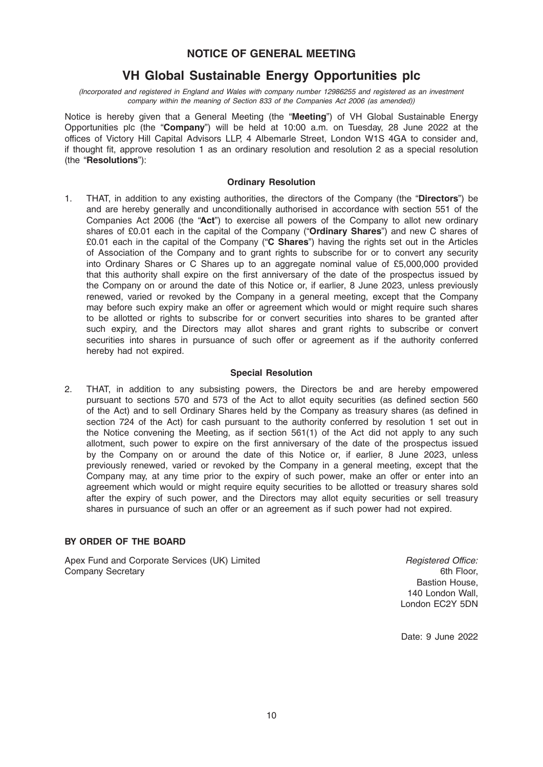### NOTICE OF GENERAL MEETING

# VH Global Sustainable Energy Opportunities plc

(Incorporated and registered in England and Wales with company number 12986255 and registered as an investment company within the meaning of Section 833 of the Companies Act 2006 (as amended))

Notice is hereby given that a General Meeting (the "Meeting") of VH Global Sustainable Energy Opportunities plc (the "Company") will be held at 10:00 a.m. on Tuesday, 28 June 2022 at the offices of Victory Hill Capital Advisors LLP, 4 Albemarle Street, London W1S 4GA to consider and, if thought fit, approve resolution 1 as an ordinary resolution and resolution 2 as a special resolution (the "Resolutions"):

#### Ordinary Resolution

1. THAT, in addition to any existing authorities, the directors of the Company (the "Directors") be and are hereby generally and unconditionally authorised in accordance with section 551 of the Companies Act 2006 (the "Act") to exercise all powers of the Company to allot new ordinary shares of £0.01 each in the capital of the Company ("Ordinary Shares") and new C shares of £0.01 each in the capital of the Company ("C Shares") having the rights set out in the Articles of Association of the Company and to grant rights to subscribe for or to convert any security into Ordinary Shares or C Shares up to an aggregate nominal value of £5,000,000 provided that this authority shall expire on the first anniversary of the date of the prospectus issued by the Company on or around the date of this Notice or, if earlier, 8 June 2023, unless previously renewed, varied or revoked by the Company in a general meeting, except that the Company may before such expiry make an offer or agreement which would or might require such shares to be allotted or rights to subscribe for or convert securities into shares to be granted after such expiry, and the Directors may allot shares and grant rights to subscribe or convert securities into shares in pursuance of such offer or agreement as if the authority conferred hereby had not expired.

#### Special Resolution

2. THAT, in addition to any subsisting powers, the Directors be and are hereby empowered pursuant to sections 570 and 573 of the Act to allot equity securities (as defined section 560 of the Act) and to sell Ordinary Shares held by the Company as treasury shares (as defined in section 724 of the Act) for cash pursuant to the authority conferred by resolution 1 set out in the Notice convening the Meeting, as if section 561(1) of the Act did not apply to any such allotment, such power to expire on the first anniversary of the date of the prospectus issued by the Company on or around the date of this Notice or, if earlier, 8 June 2023, unless previously renewed, varied or revoked by the Company in a general meeting, except that the Company may, at any time prior to the expiry of such power, make an offer or enter into an agreement which would or might require equity securities to be allotted or treasury shares sold after the expiry of such power, and the Directors may allot equity securities or sell treasury shares in pursuance of such an offer or an agreement as if such power had not expired.

### BY ORDER OF THE BOARD

Apex Fund and Corporate Services (UK) Limited Company Secretary

Registered Office: 6th Floor, Bastion House, 140 London Wall, London EC2Y 5DN

Date: 9 June 2022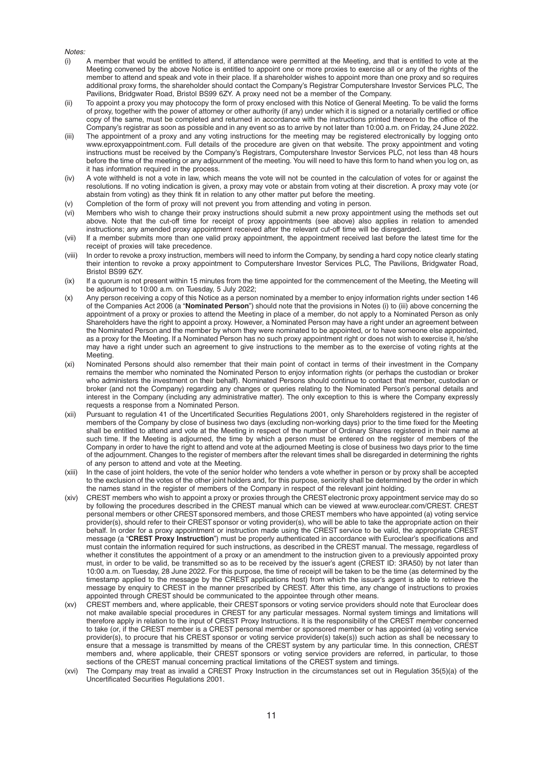#### **Notes**

- A member that would be entitled to attend, if attendance were permitted at the Meeting, and that is entitled to vote at the Meeting convened by the above Notice is entitled to appoint one or more proxies to exercise all or any of the rights of the member to attend and speak and vote in their place. If a shareholder wishes to appoint more than one proxy and so requires additional proxy forms, the shareholder should contact the Company's Registrar Computershare Investor Services PLC, The Pavilions, Bridgwater Road, Bristol BS99 6ZY. A proxy need not be a member of the Company.
- (ii) To appoint a proxy you may photocopy the form of proxy enclosed with this Notice of General Meeting. To be valid the forms of proxy, together with the power of attorney or other authority (if any) under which it is signed or a notarially certified or office copy of the same, must be completed and returned in accordance with the instructions printed thereon to the office of the Company's registrar as soon as possible and in any event so as to arrive by not later than 10:00 a.m. on Friday, 24 June 2022.
- (iii) The appointment of a proxy and any voting instructions for the meeting may be registered electronically by logging onto www.eproxyappointment.com. Full details of the procedure are given on that website. The proxy appointment and voting instructions must be received by the Company's Registrars, Computershare Investor Services PLC, not less than 48 hours before the time of the meeting or any adjournment of the meeting. You will need to have this form to hand when you log on, as it has information required in the process.
- (iv) A vote withheld is not a vote in law, which means the vote will not be counted in the calculation of votes for or against the resolutions. If no voting indication is given, a proxy may vote or abstain from voting at their discretion. A proxy may vote (or abstain from voting) as they think fit in relation to any other matter put before the meeting.
- (v) Completion of the form of proxy will not prevent you from attending and voting in person.
- (vi) Members who wish to change their proxy instructions should submit a new proxy appointment using the methods set out above. Note that the cut-off time for receipt of proxy appointments (see above) also applies in relation to amended instructions; any amended proxy appointment received after the relevant cut-off time will be disregarded.
- (vii) If a member submits more than one valid proxy appointment, the appointment received last before the latest time for the receipt of proxies will take precedence.
- (viii) In order to revoke a proxy instruction, members will need to inform the Company, by sending a hard copy notice clearly stating their intention to revoke a proxy appointment to Computershare Investor Services PLC, The Pavilions, Bridgwater Road, Bristol BS99 6ZY.
- (ix) If a quorum is not present within 15 minutes from the time appointed for the commencement of the Meeting, the Meeting will be adjourned to 10:00 a.m. on Tuesday, 5 July 2022;
- (x) Any person receiving a copy of this Notice as a person nominated by a member to enjoy information rights under section 146 of the Companies Act 2006 (a "Nominated Person") should note that the provisions in Notes (i) to (iii) above concerning the appointment of a proxy or proxies to attend the Meeting in place of a member, do not apply to a Nominated Person as only Shareholders have the right to appoint a proxy. However, a Nominated Person may have a right under an agreement between the Nominated Person and the member by whom they were nominated to be appointed, or to have someone else appointed, as a proxy for the Meeting. If a Nominated Person has no such proxy appointment right or does not wish to exercise it, he/she may have a right under such an agreement to give instructions to the member as to the exercise of voting rights at the Meeting.
- (xi) Nominated Persons should also remember that their main point of contact in terms of their investment in the Company remains the member who nominated the Nominated Person to enjoy information rights (or perhaps the custodian or broker who administers the investment on their behalf). Nominated Persons should continue to contact that member, custodian or broker (and not the Company) regarding any changes or queries relating to the Nominated Person's personal details and interest in the Company (including any administrative matter). The only exception to this is where the Company expressly requests a response from a Nominated Person.
- (xii) Pursuant to regulation 41 of the Uncertificated Securities Regulations 2001, only Shareholders registered in the register of members of the Company by close of business two days (excluding non-working days) prior to the time fixed for the Meeting shall be entitled to attend and vote at the Meeting in respect of the number of Ordinary Shares registered in their name at such time. If the Meeting is adjourned, the time by which a person must be entered on the register of members of the Company in order to have the right to attend and vote at the adjourned Meeting is close of business two days prior to the time of the adjournment. Changes to the register of members after the relevant times shall be disregarded in determining the rights of any person to attend and vote at the Meeting.
- (xiii) In the case of joint holders, the vote of the senior holder who tenders a vote whether in person or by proxy shall be accepted to the exclusion of the votes of the other joint holders and, for this purpose, seniority shall be determined by the order in which the names stand in the register of members of the Company in respect of the relevant joint holding.
- (xiv) CREST members who wish to appoint a proxy or proxies through the CREST electronic proxy appointment service may do so by following the procedures described in the CREST manual which can be viewed at www.euroclear.com/CREST. CREST personal members or other CREST sponsored members, and those CREST members who have appointed (a) voting service provider(s), should refer to their CREST sponsor or voting provider(s), who will be able to take the appropriate action on their behalf. In order for a proxy appointment or instruction made using the CREST service to be valid, the appropriate CREST message (a "CREST Proxy Instruction") must be properly authenticated in accordance with Euroclear's specifications and must contain the information required for such instructions, as described in the CREST manual. The message, regardless of whether it constitutes the appointment of a proxy or an amendment to the instruction given to a previously appointed proxy must, in order to be valid, be transmitted so as to be received by the issuer's agent (CREST ID: 3RA50) by not later than 10:00 a.m. on Tuesday, 28 June 2022. For this purpose, the time of receipt will be taken to be the time (as determined by the timestamp applied to the message by the CREST applications host) from which the issuer's agent is able to retrieve the message by enquiry to CREST in the manner prescribed by CREST. After this time, any change of instructions to proxies appointed through CREST should be communicated to the appointee through other means.
- (xv) CREST members and, where applicable, their CREST sponsors or voting service providers should note that Euroclear does not make available special procedures in CREST for any particular messages. Normal system timings and limitations will therefore apply in relation to the input of CREST Proxy Instructions. It is the responsibility of the CREST member concerned to take (or, if the CREST member is a CREST personal member or sponsored member or has appointed (a) voting service provider(s), to procure that his CREST sponsor or voting service provider(s) take(s)) such action as shall be necessary to ensure that a message is transmitted by means of the CREST system by any particular time. In this connection, CREST members and, where applicable, their CREST sponsors or voting service providers are referred, in particular, to those sections of the CREST manual concerning practical limitations of the CREST system and timings.
- (xvi) The Company may treat as invalid a CREST Proxy Instruction in the circumstances set out in Regulation 35(5)(a) of the Uncertificated Securities Regulations 2001.